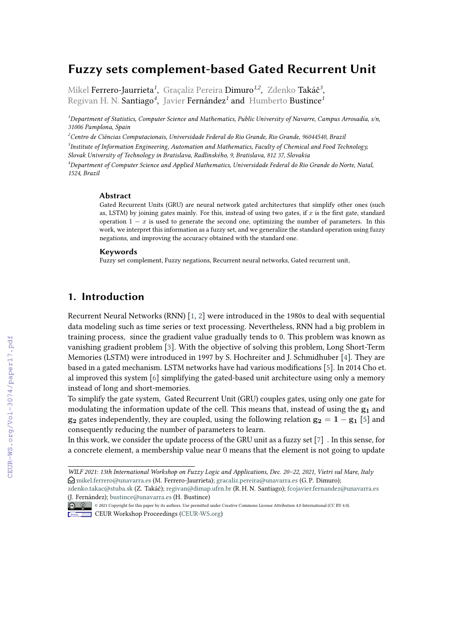# **Fuzzy sets complement-based Gated Recurrent Unit**

Mikel Ferrero-Jaurrieta*<sup>1</sup>* , Graçaliz Pereira Dimuro*1,2* , Zdenko Takáč*<sup>3</sup>* , Regivan H. N. Santiago*<sup>4</sup>* , Javier Fernández*<sup>1</sup>* and Humberto Bustince*<sup>1</sup>*

*<sup>1</sup>Department of Statistics, Computer Science and Mathematics, Public University of Navarre, Campus Arrosadía, s/n, 31006 Pamplona, Spain*

*<sup>2</sup>Centro de Ciências Computacionais, Universidade Federal do Rio Grande, Rio Grande, 96044540, Brazil 3 Institute of Information Engineering, Automation and Mathematics, Faculty of Chemical and Food Technology, Slovak University of Technology in Bratislava, Radlinského, 9, Bratislava, 812 37, Slovakia*

*<sup>4</sup>Department of Computer Science and Applied Mathematics, Universidade Federal do Rio Grande do Norte, Natal, 1524, Brazil*

#### **Abstract**

Gated Recurrent Units (GRU) are neural network gated architectures that simplify other ones (such as, LSTM) by joining gates mainly. For this, instead of using two gates, if  $x$  is the first gate, standard operation  $1 - x$  is used to generate the second one, optimizing the number of parameters. In this work, we interpret this information as a fuzzy set, and we generalize the standard operation using fuzzy negations, and improving the accuracy obtained with the standard one.

#### **Keywords**

Fuzzy set complement, Fuzzy negations, Recurrent neural networks, Gated recurrent unit,

## **1. Introduction**

Recurrent Neural Networks (RNN) [\[1,](#page--1-0) [2\]](#page--1-1) were introduced in the 1980s to deal with sequential data modeling such as time series or text processing. Nevertheless, RNN had a big problem in training process, since the gradient value gradually tends to 0. This problem was known as vanishing gradient problem [\[3\]](#page--1-2). With the objective of solving this problem, Long Short-Term Memories (LSTM) were introduced in 1997 by S. Hochreiter and J. Schmidhuber [\[4\]](#page--1-3). They are based in a gated mechanism. LSTM networks have had various modifications [\[5\]](#page--1-4). In 2014 Cho et. al improved this system [\[6\]](#page--1-5) simplifying the gated-based unit architecture using only a memory instead of long and short-memories.

To simplify the gate system, Gated Recurrent Unit (GRU) couples gates, using only one gate for modulating the information update of the cell. This means that, instead of using the  $g_1$  and  $g_2$  gates independently, they are coupled, using the following relation  $g_2 = 1 - g_1$  [\[5\]](#page--1-4) and consequently reducing the number of parameters to learn.

In this work, we consider the update process of the GRU unit as a fuzzy set [\[7\]](#page--1-6) . In this sense, for a concrete element, a membership value near 0 means that the element is not going to update

[\(J. Fernán](https://creativecommons.org/licenses/by/4.0)dez); [bustince@unavarra.es](mailto:bustince@unavarra.es) (H. Bustince)

- © © © © 2021 Copyright for this paper by its authors. Use permitted under Creative Commons License Attribution 4.0 International (CC BY 4.0).
- **CEUR Workshop [Proceedings](http://ceur-ws.org) [\(CEUR-WS.org\)](http://ceur-ws.org)**

*WILF 2021: 13th International Workshop on Fuzzy Logic and Applications, Dec. 20–22, 2021, Vietri sul Mare, Italy*  $\bigcirc$  [mikel.ferrero@unavarra.es](mailto:mikel.ferrero@unavarra.es) (M. Ferrero-Jaurrieta); [gracaliz.pereira@unavarra.es](mailto:gracaliz.pereira@unavarra.es) (G. P. Dimuro); [zdenko.takac@stuba.sk](mailto:zdenko.takac@stuba.sk) (Z. Takáč); [regivan@dimap.ufrn.br](mailto:regivan@dimap.ufrn.br) (R. H. N. Santiago); [fcojavier.fernandez@unavarra.es](mailto:fcojavier.fernandez@unavarra.es)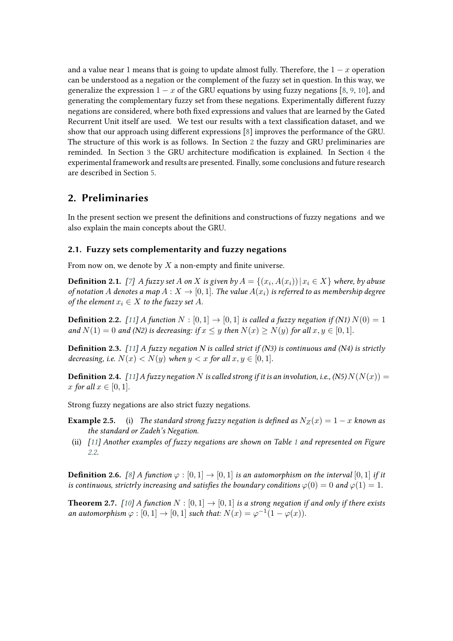and a value near 1 means that is going to update almost fully. Therefore, the  $1 - x$  operation can be understood as a negation or the complement of the fuzzy set in question. In this way, we generalize the expression  $1 - x$  of the GRU equations by using fuzzy negations [\[8,](#page-8-0) [9,](#page-8-1) [10\]](#page-8-2), and generating the complementary fuzzy set from these negations. Experimentally different fuzzy negations are considered, where both fixed expressions and values that are learned by the Gated Recurrent Unit itself are used. We test our results with a text classification dataset, and we show that our approach using different expressions [\[8\]](#page-8-0) improves the performance of the GRU. The structure of this work is as follows. In Section [2](#page-1-0) the fuzzy and GRU preliminaries are reminded. In Section [3](#page-3-0) the GRU architecture modification is explained. In Section [4](#page-4-0) the experimental framework and results are presented. Finally, some conclusions and future research are described in Section [5.](#page-6-0)

### <span id="page-1-0"></span>**2. Preliminaries**

In the present section we present the definitions and constructions of fuzzy negations and we also explain the main concepts about the GRU.

### **2.1. Fuzzy sets complementarity and fuzzy negations**

From now on, we denote by  $X$  a non-empty and finite universe.

**Definition 2.1.** [\[7\]](#page-8-3) A fuzzy set A on X is given by  $A = \{(x_i, A(x_i)) | x_i \in X\}$  where, by abuse *of notation* A denotes a map  $A: X \to [0, 1]$ . The value  $A(x_i)$  is referred to as membership degree *of the element*  $x_i \in X$  *to the fuzzy set*  $A$ *.* 

**Definition 2.2.** [\[11\]](#page-8-4) A function  $N : [0,1] \rightarrow [0,1]$  is called a fuzzy negation if (N1)  $N(0) = 1$ *and*  $N(1) = 0$  *and* (N2) is decreasing: if  $x \le y$  then  $N(x) \ge N(y)$  for all  $x, y \in [0, 1]$ *.* 

**Definition 2.3.** *[\[11\]](#page-8-4) A fuzzy negation N is called strict if (N3) is continuous and (N4) is strictly decreasing, i.e.*  $N(x) < N(y)$  when  $y < x$  for all  $x, y \in [0, 1]$ .

<span id="page-1-2"></span>**Definition 2.4.** [\[11\]](#page-8-4) A fuzzy negation N is called strong if it is an involution, i.e., (N5)  $N(N(x)) =$ *x* for all  $x \in [0, 1]$ *.* 

Strong fuzzy negations are also strict fuzzy negations.

- **Example 2.5.** (i) *The standard strong fuzzy negation is defined as*  $N_Z(x) = 1 x$  *known as the standard or Zadeh's Negation.*
- (ii) *[\[11\]](#page-8-4) Another examples of fuzzy negations are shown on Table [1](#page-2-0) and represented on Figure [2.2.](#page-3-1)*

**Definition 2.6.** [\[8\]](#page-8-0) A function  $\varphi : [0, 1] \to [0, 1]$  is an automorphism on the interval  $[0, 1]$  if it *is continuous, strictrly increasing and satisfies the boundary conditions*  $\varphi(0) = 0$  *and*  $\varphi(1) = 1$ *.* 

<span id="page-1-1"></span>**Theorem 2.7.** *[\[10\]](#page-8-2) A* function  $N : [0, 1] \rightarrow [0, 1]$  *is a strong negation if and only if there exists an automorphism*  $\varphi : [0, 1] \to [0, 1]$  *such that:*  $N(x) = \varphi^{-1}(1 - \varphi(x))$ *.*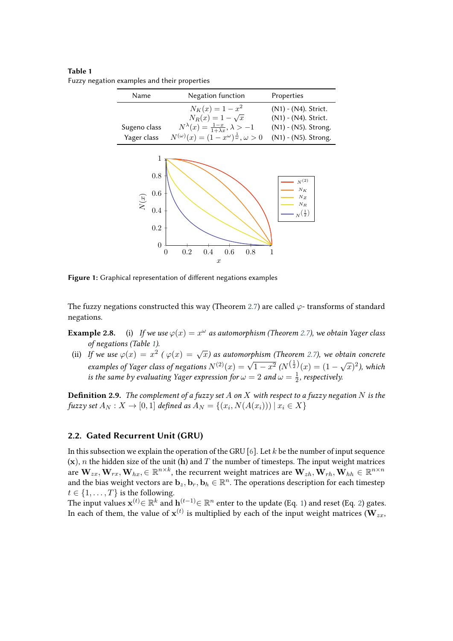<span id="page-2-0"></span>**Table 1** Fuzzy negation examples and their properties

| Name         | Negation function                                                 | Properties           |
|--------------|-------------------------------------------------------------------|----------------------|
|              | $N_K(x) = 1 - x^2$                                                | (N1) - (N4). Strict. |
|              | $N_R(x) = 1 - \sqrt{x}$                                           | (N1) - (N4). Strict. |
| Sugeno class | $N^{\lambda}(x) = \frac{1-x}{1+\lambda x}, \lambda > -1$          | (N1) - (N5). Strong. |
| Yager class  | $N^{(\omega)}(x) = (1-x^{\omega})^{\frac{1}{\omega}}, \omega > 0$ | (N1) - (N5). Strong. |



**Figure 1:** Graphical representation of different negations examples

The fuzzy negations constructed this way (Theorem [2.7\)](#page-1-1) are called  $\varphi$ -transforms of standard negations.

**Example 2.8.** (i) If we use  $\varphi(x) = x^{\omega}$  as automorphism (Theorem [2.7\)](#page-1-1), we obtain Yager class *of negations (Table [1\)](#page-2-0).*

(ii) If we use  $\varphi(x) = x^2$  ( $\varphi(x) = \sqrt{x}$ ) as automorphism (Theorem [2.7\)](#page-1-1), we obtain concrete *examples of Yager class of negations*  $N^{(2)}(x) = \sqrt{1-x^2} (N^{(\frac{1}{2})}(x) = (1-\sqrt{x})^2)$ , which *is the same by evaluating Yager expression for*  $\omega = 2$  *and*  $\omega = \frac{1}{2}$  $\frac{1}{2}$ , respectively.

**Definition 2.9.** *The complement of a fuzzy set*  $A$  *on*  $X$  *with respect to a fuzzy negation*  $N$  *is the*  $fuzzy set A_N : X \to [0,1]$  *defined as*  $A_N = \{(x_i, N(A(x_i))) | x_i \in X\}$ 

#### **2.2. Gated Recurrent Unit (GRU)**

In this subsection we explain the operation of the GRU [\[6\]](#page-7-0). Let  $k$  be the number of input sequence  $(x)$ , *n* the hidden size of the unit (h) and *T* the number of timesteps. The input weight matrices are  $\mathbf{W}_{zx}, \mathbf{W}_{rx}, \mathbf{W}_{hx}, \in \mathbb{R}^{n \times k}$ , the recurrent weight matrices are  $\mathbf{W}_{zh}, \mathbf{W}_{rh}, \mathbf{W}_{hh} \in \mathbb{R}^{n \times n}$ and the bias weight vectors are  $\mathbf{b}_z, \mathbf{b}_r, \mathbf{b}_h \in \mathbb{R}^n$ . The operations description for each timestep  $t \in \{1, \ldots, T\}$  is the following.

The input values  $\mathbf{x}^{(t)} \in \mathbb{R}^k$  and  $\mathbf{h}^{(t-1)} \in \mathbb{R}^n$  $\mathbf{h}^{(t-1)} \in \mathbb{R}^n$  $\mathbf{h}^{(t-1)} \in \mathbb{R}^n$  enter to the update (Eq. 1) and reset (Eq. [2\)](#page-3-3) gates. In each of them, the value of  $\mathbf{x}^{(t)}$  is multiplied by each of the input weight matrices ( $\mathbf{W}_{zx}$ ,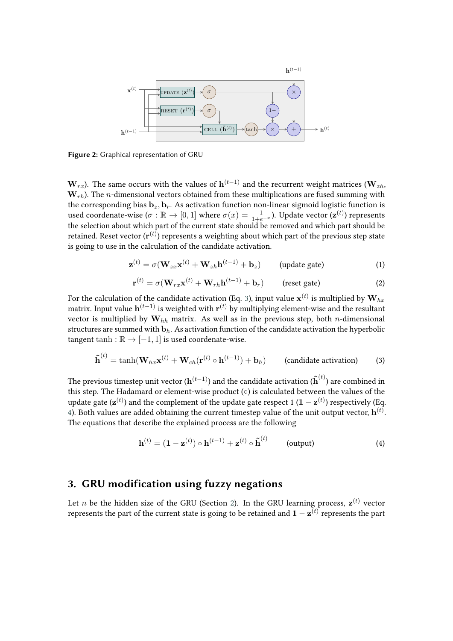

**Figure 2:** Graphical representation of GRU

 $\mathbf{W}_{rx}$ ). The same occurs with the values of  $\mathbf{h}^{(t-1)}$  and the recurrent weight matrices ( $\mathbf{W}_{zh}$ ,  $W_{rh}$ ). The *n*-dimensional vectors obtained from these multiplications are fused summing with the corresponding bias  $\mathbf{b}_z$ ,  $\mathbf{b}_r$ . As activation function non-linear sigmoid logistic function is used coordenate-wise  $(\sigma:\mathbb{R}\to[0,1]$  where  $\sigma(x)=\frac{1}{1+e^{-x}}$ ). Update vector  $(\mathbf{z}^{(t)})$  represents the selection about which part of the current state should be removed and which part should be retained. Reset vector  $(\mathbf{r}^{(t)})$  represents a weighting about which part of the previous step state is going to use in the calculation of the candidate activation.

<span id="page-3-2"></span>
$$
\mathbf{z}^{(t)} = \sigma(\mathbf{W}_{zx}\mathbf{x}^{(t)} + \mathbf{W}_{zh}\mathbf{h}^{(t-1)} + \mathbf{b}_z)
$$
 (update gate) (1)

<span id="page-3-3"></span>
$$
\mathbf{r}^{(t)} = \sigma(\mathbf{W}_{rx}\mathbf{x}^{(t)} + \mathbf{W}_{rh}\mathbf{h}^{(t-1)} + \mathbf{b}_r)
$$
 (reset gate) (2)

For the calculation of the candidate activation (Eq. [3\)](#page-3-4), input value  $\mathbf{x}^{(t)}$  is multiplied by  $\mathbf{W}_{hx}$ matrix. Input value  $\mathbf{h}^{(t-1)}$  is weighted with  $\mathbf{r}^{(t)}$  by multiplying element-wise and the resultant vector is multiplied by  $W_{hh}$  matrix. As well as in the previous step, both *n*-dimensional structures are summed with  $\mathbf{b}_h$ . As activation function of the candidate activation the hyperbolic tangent tanh :  $\mathbb{R} \rightarrow [-1, 1]$  is used coordenate-wise.

<span id="page-3-4"></span>
$$
\tilde{\mathbf{h}}^{(t)} = \tanh(\mathbf{W}_{hx}\mathbf{x}^{(t)} + \mathbf{W}_{ch}(\mathbf{r}^{(t)} \circ \mathbf{h}^{(t-1)}) + \mathbf{b}_h)
$$
 (candidate activation) (3)

The previous timestep unit vector  $(\mathbf{h}^{(t-1)})$  and the candidate activation  $(\tilde{\mathbf{h}}^{(t)})$  are combined in this step. The Hadamard or element-wise product (∘) is calculated between the values of the update gate ( $\mathbf{z}^{(t)}$ ) and the complement of the update gate respect 1  $(\mathbf{1} - \mathbf{z}^{(t)})$  respectively (Eq. [4\)](#page-3-1). Both values are added obtaining the current timestep value of the unit output vector,  $\mathbf{h}^{(t)}$ . The equations that describe the explained process are the following

<span id="page-3-1"></span>
$$
\mathbf{h}^{(t)} = (\mathbf{1} - \mathbf{z}^{(t)}) \circ \mathbf{h}^{(t-1)} + \mathbf{z}^{(t)} \circ \tilde{\mathbf{h}}^{(t)} \qquad \text{(output)} \tag{4}
$$

## <span id="page-3-0"></span>**3. GRU modification using fuzzy negations**

Let  $n$  be the hidden size of the GRU (Section [2\)](#page-1-0). In the GRU learning process,  $\mathbf{z}^{(t)}$  vector represents the part of the current state is going to be retained and  $\mathbf{1} - \mathbf{z}^{(t)}$  represents the part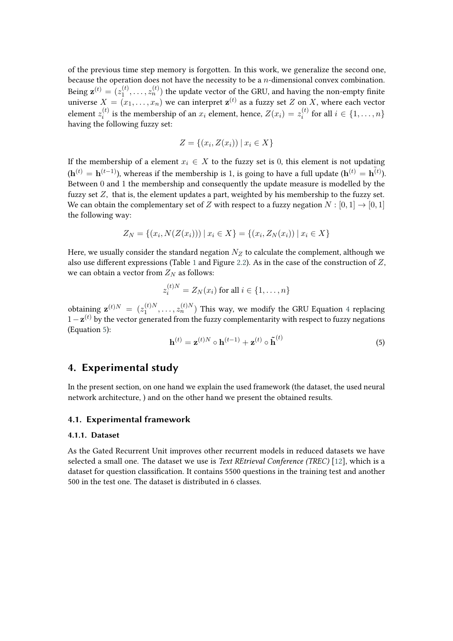of the previous time step memory is forgotten. In this work, we generalize the second one, because the operation does not have the necessity to be a  $n$ -dimensional convex combination. Being  $\mathbf{z}^{(t)} = (z_1^{(t)})$  $\mathbf{z}_1^{(t)},\ldots,\mathbf{z}_n^{(t)})$  the update vector of the GRU, and having the non-empty finite universe  $X = (x_1, \ldots, x_n)$  we can interpret  $\mathbf{z}^{(t)}$  as a fuzzy set  $Z$  on  $X$ , where each vector element  $z_i^{(t)}$  $\hat{z}_i^{(t)}$  is the membership of an  $x_i$  element, hence,  $Z(x_i) = z_i^{(t)}$  $f_i^{(i)}$  for all  $i \in \{1, \ldots, n\}$ having the following fuzzy set:

$$
Z = \{(x_i, Z(x_i)) \mid x_i \in X\}
$$

If the membership of a element  $x_i \in X$  to the fuzzy set is 0, this element is not updating  $(\mathbf{h}^{(t)}=\mathbf{h}^{(t-1)})$ , whereas if the membership is 1, is going to have a full update  $(\mathbf{h}^{(t)}=\tilde{\mathbf{h}^{(t)}})$ . Between 0 and 1 the membership and consequently the update measure is modelled by the fuzzy set  $Z$ , that is, the element updates a part, weighted by his membership to the fuzzy set. We can obtain the complementary set of Z with respect to a fuzzy negation  $N : [0, 1] \rightarrow [0, 1]$ the following way:

$$
Z_N = \{(x_i, N(Z(x_i))) \mid x_i \in X\} = \{(x_i, Z_N(x_i)) \mid x_i \in X\}
$$

Here, we usually consider the standard negation  $N_Z$  to calculate the complement, although we also use different expressions (Table [1](#page-2-0) and Figure [2.2\)](#page-3-1). As in the case of the construction of  $Z$ , we can obtain a vector from  $Z_N$  as follows:

$$
z_i^{(t)N} = Z_N(x_i) \text{ for all } i \in \{1, \dots, n\}
$$

obtaining  $\mathbf{z}^{(t)N} = (z_1^{(t)N})$  $\mathbf{1}_{1}^{(t)N}, \ldots, \mathbf{2}_{n}^{(t)N})$  This way, we modify the GRU Equation [4](#page-3-1) replacing  $1-\mathbf{z}^{(t)}$  by the vector generated from the fuzzy complementarity with respect to fuzzy negations (Equation [5\)](#page-4-1):

<span id="page-4-1"></span>
$$
\mathbf{h}^{(t)} = \mathbf{z}^{(t)N} \circ \mathbf{h}^{(t-1)} + \mathbf{z}^{(t)} \circ \tilde{\mathbf{h}}^{(t)}
$$
(5)

### <span id="page-4-0"></span>**4. Experimental study**

In the present section, on one hand we explain the used framework (the dataset, the used neural network architecture, ) and on the other hand we present the obtained results.

### **4.1. Experimental framework**

#### **4.1.1. Dataset**

As the Gated Recurrent Unit improves other recurrent models in reduced datasets we have selected a small one. The dataset we use is *Text REtrieval Conference (TREC)* [\[12\]](#page-8-5), which is a dataset for question classification. It contains 5500 questions in the training test and another 500 in the test one. The dataset is distributed in 6 classes.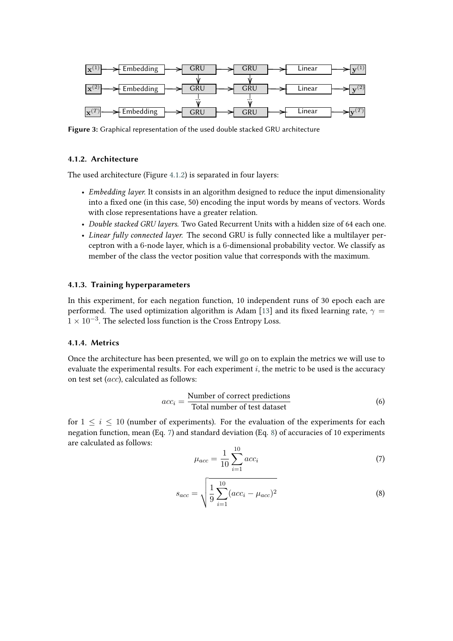

**Figure 3:** Graphical representation of the used double stacked GRU architecture

### <span id="page-5-0"></span>**4.1.2. Architecture**

The used architecture (Figure [4.1.2\)](#page-5-0) is separated in four layers:

- *Embedding layer.* It consists in an algorithm designed to reduce the input dimensionality into a fixed one (in this case, 50) encoding the input words by means of vectors. Words with close representations have a greater relation.
- *Double stacked GRU layers.* Two Gated Recurrent Units with a hidden size of 64 each one.
- *Linear fully connected layer.* The second GRU is fully connected like a multilayer perceptron with a 6-node layer, which is a 6-dimensional probability vector. We classify as member of the class the vector position value that corresponds with the maximum.

### **4.1.3. Training hyperparameters**

In this experiment, for each negation function, 10 independent runs of 30 epoch each are performed. The used optimization algorithm is Adam [\[13\]](#page-8-6) and its fixed learning rate,  $\gamma =$  $1 \times 10^{-3}$ . The selected loss function is the Cross Entropy Loss.

### **4.1.4. Metrics**

Once the architecture has been presented, we will go on to explain the metrics we will use to evaluate the experimental results. For each experiment  $i$ , the metric to be used is the accuracy on test set  $(acc)$ , calculated as follows:

$$
acc_i = \frac{\text{Number of correct predictions}}{\text{Total number of test dataset}}\tag{6}
$$

for  $1 \leq i \leq 10$  (number of experiments). For the evaluation of the experiments for each negation function, mean (Eq. [7\)](#page-5-1) and standard deviation (Eq. [8\)](#page-5-2) of accuracies of 10 experiments are calculated as follows:

<span id="page-5-1"></span>
$$
\mu_{acc} = \frac{1}{10} \sum_{i=1}^{10} acc_i \tag{7}
$$

<span id="page-5-2"></span>
$$
s_{acc} = \sqrt{\frac{1}{9} \sum_{i=1}^{10} (acc_i - \mu_{acc})^2}
$$
 (8)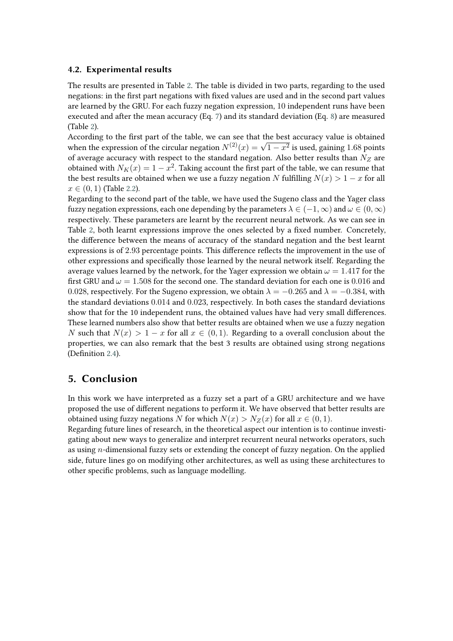### **4.2. Experimental results**

The results are presented in Table [2.](#page-7-1) The table is divided in two parts, regarding to the used negations: in the first part negations with fixed values are used and in the second part values are learned by the GRU. For each fuzzy negation expression, 10 independent runs have been executed and after the mean accuracy (Eq. [7\)](#page-5-1) and its standard deviation (Eq. [8\)](#page-5-2) are measured (Table [2\)](#page-7-1).

According to the first part of the table, we can see that the best accuracy value is obtained when the expression of the circular negation  $N^{(2)}(x) = \sqrt{1-x^2}$  is used, gaining 1.68 points of average accuracy with respect to the standard negation. Also better results than  $N_Z$  are obtained with  $N_K(x) = 1 - x^2$ . Taking account the first part of the table, we can resume that the best results are obtained when we use a fuzzy negation N fulfilling  $N(x) > 1 - x$  for all  $x \in (0, 1)$  (Table [2.2\)](#page-3-1).

Regarding to the second part of the table, we have used the Sugeno class and the Yager class fuzzy negation expressions, each one depending by the parameters  $\lambda \in (-1, \infty)$  and  $\omega \in (0, \infty)$ respectively. These parameters are learnt by the recurrent neural network. As we can see in Table [2,](#page-7-1) both learnt expressions improve the ones selected by a fixed number. Concretely, the difference between the means of accuracy of the standard negation and the best learnt expressions is of 2.93 percentage points. This difference reflects the improvement in the use of other expressions and specifically those learned by the neural network itself. Regarding the average values learned by the network, for the Yager expression we obtain  $\omega = 1.417$  for the first GRU and  $\omega = 1.508$  for the second one. The standard deviation for each one is 0.016 and 0.028, respectively. For the Sugeno expression, we obtain  $\lambda = -0.265$  and  $\lambda = -0.384$ , with the standard deviations 0.014 and 0.023, respectively. In both cases the standard deviations show that for the 10 independent runs, the obtained values have had very small differences. These learned numbers also show that better results are obtained when we use a fuzzy negation N such that  $N(x) > 1 - x$  for all  $x \in (0, 1)$ . Regarding to a overall conclusion about the properties, we can also remark that the best 3 results are obtained using strong negations (Definition [2.4\)](#page-1-2).

### <span id="page-6-0"></span>**5. Conclusion**

In this work we have interpreted as a fuzzy set a part of a GRU architecture and we have proposed the use of different negations to perform it. We have observed that better results are obtained using fuzzy negations N for which  $N(x) > N_Z(x)$  for all  $x \in (0, 1)$ .

Regarding future lines of research, in the theoretical aspect our intention is to continue investigating about new ways to generalize and interpret recurrent neural networks operators, such as using  $n$ -dimensional fuzzy sets or extending the concept of fuzzy negation. On the applied side, future lines go on modifying other architectures, as well as using these architectures to other specific problems, such as language modelling.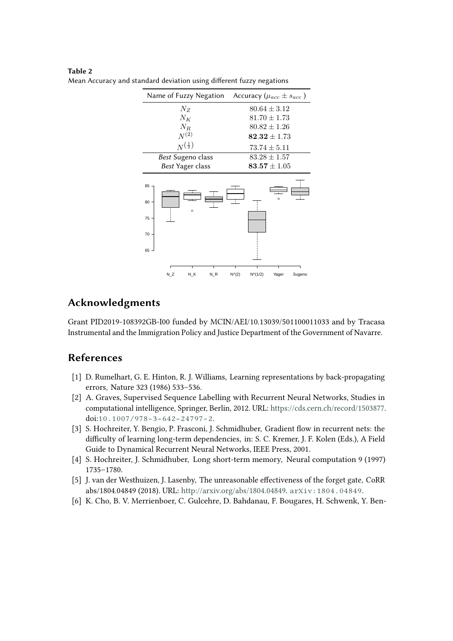| Name of Fuzzy Negation                                  | Accuracy ( $\mu_{acc} \pm s_{acc}$ ) |  |
|---------------------------------------------------------|--------------------------------------|--|
| $N_Z$                                                   | $80.64 \pm 3.12$                     |  |
| $N_K$                                                   | $81.70 \pm 1.73$                     |  |
| $N_R$                                                   | $80.82 \pm 1.26$                     |  |
| $N^{(2)}$                                               | $\textbf{82.32}\pm1.73$              |  |
| $N^{\left(\frac{1}{2}\right)}$                          | $73.74 \pm 5.11$                     |  |
| Best Sugeno class                                       | $83.28 \pm 1.57$                     |  |
| Best Yager class<br>85<br>80<br>$\circ$<br>75<br>$70 -$ | $83.57 \pm 1.05$                     |  |
| 65                                                      | $N^{\wedge}(2)$                      |  |
| N Z                                                     | $N^{(1/2)}$                          |  |
| N K                                                     | Yager                                |  |
| N R                                                     | Sugeno                               |  |

<span id="page-7-1"></span>**Table 2** Mean Accuracy and standard deviation using different fuzzy negations

## **Acknowledgments**

Grant PID2019-108392GB-I00 funded by MCIN/AEI/10.13039/501100011033 and by Tracasa Instrumental and the Immigration Policy and Justice Department of the Government of Navarre.

## **References**

- [1] D. Rumelhart, G. E. Hinton, R. J. Williams, Learning representations by back-propagating errors, Nature 323 (1986) 533–536.
- [2] A. Graves, Supervised Sequence Labelling with Recurrent Neural Networks, Studies in computational intelligence, Springer, Berlin, 2012. URL: [https://cds.cern.ch/record/1503877.](https://cds.cern.ch/record/1503877) doi:[10.1007/978-3-642-24797-2](http://dx.doi.org/10.1007/978-3-642-24797-2).
- [3] S. Hochreiter, Y. Bengio, P. Frasconi, J. Schmidhuber, Gradient flow in recurrent nets: the difficulty of learning long-term dependencies, in: S. C. Kremer, J. F. Kolen (Eds.), A Field Guide to Dynamical Recurrent Neural Networks, IEEE Press, 2001.
- [4] S. Hochreiter, J. Schmidhuber, Long short-term memory, Neural computation 9 (1997) 1735–1780.
- [5] J. van der Westhuizen, J. Lasenby, The unreasonable effectiveness of the forget gate, CoRR abs/1804.04849 (2018). URL: [http://arxiv.org/abs/1804.04849.](http://arxiv.org/abs/1804.04849) [arXiv:1804.04849](http://arxiv.org/abs/1804.04849).
- <span id="page-7-0"></span>[6] K. Cho, B. V. Merrienboer, C. Gulcehre, D. Bahdanau, F. Bougares, H. Schwenk, Y. Ben-